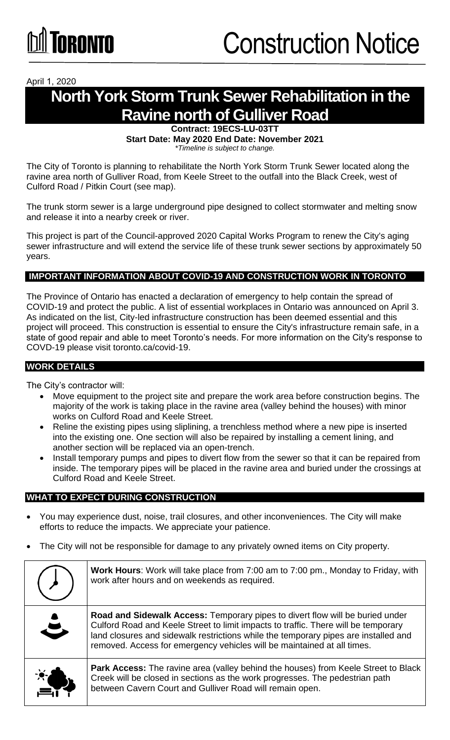April 1, 2020

# **North York Storm Trunk Sewer Rehabilitation in the Ravine north of Gulliver Road**

**Contract: 19ECS-LU-03TT Start Date: May 2020 End Date: November 2021**  *\*Timeline is subject to change.*

The City of Toronto is planning to rehabilitate the North York Storm Trunk Sewer located along the ravine area north of Gulliver Road, from Keele Street to the outfall into the Black Creek, west of Culford Road / Pitkin Court (see map).

The trunk storm sewer is a large underground pipe designed to collect stormwater and melting snow and release it into a nearby creek or river.

This project is part of the Council-approved 2020 Capital Works Program to renew the City's aging sewer infrastructure and will extend the service life of these trunk sewer sections by approximately 50 years.

### **IMPORTANT INFORMATION ABOUT COVID-19 AND CONSTRUCTION WORK IN TORONTO**

The Province of Ontario has enacted a declaration of emergency to help contain the spread of COVID-19 and protect the public. A list of essential workplaces in Ontario was announced on April 3. As indicated on the list, City-led infrastructure construction has been deemed essential and this project will proceed. This construction is essential to ensure the City's infrastructure remain safe, in a state of good repair and able to meet Toronto's needs. For more information on the City's response to COVD-19 please visit toronto.ca/covid-19.

### **WORK DETAILS**

The City's contractor will:

- Move equipment to the project site and prepare the work area before construction begins. The majority of the work is taking place in the ravine area (valley behind the houses) with minor works on Culford Road and Keele Street.
- Reline the existing pipes using sliplining, a trenchless method where a new pipe is inserted into the existing one. One section will also be repaired by installing a cement lining, and another section will be replaced via an open-trench.
- Install temporary pumps and pipes to divert flow from the sewer so that it can be repaired from inside. The temporary pipes will be placed in the ravine area and buried under the crossings at Culford Road and Keele Street.

#### **WHAT TO EXPECT DURING CONSTRUCTION**

- You may experience dust, noise, trail closures, and other inconveniences. The City will make efforts to reduce the impacts. We appreciate your patience.
- The City will not be responsible for damage to any privately owned items on City property.

|                      | Work Hours: Work will take place from 7:00 am to 7:00 pm., Monday to Friday, with<br>work after hours and on weekends as required.                                                                                                                                                                                                    |
|----------------------|---------------------------------------------------------------------------------------------------------------------------------------------------------------------------------------------------------------------------------------------------------------------------------------------------------------------------------------|
| $\ddot{\phantom{a}}$ | Road and Sidewalk Access: Temporary pipes to divert flow will be buried under<br>Culford Road and Keele Street to limit impacts to traffic. There will be temporary<br>land closures and sidewalk restrictions while the temporary pipes are installed and<br>removed. Access for emergency vehicles will be maintained at all times. |
| <b>RO</b>            | <b>Park Access:</b> The ravine area (valley behind the houses) from Keele Street to Black<br>Creek will be closed in sections as the work progresses. The pedestrian path<br>between Cavern Court and Gulliver Road will remain open.                                                                                                 |